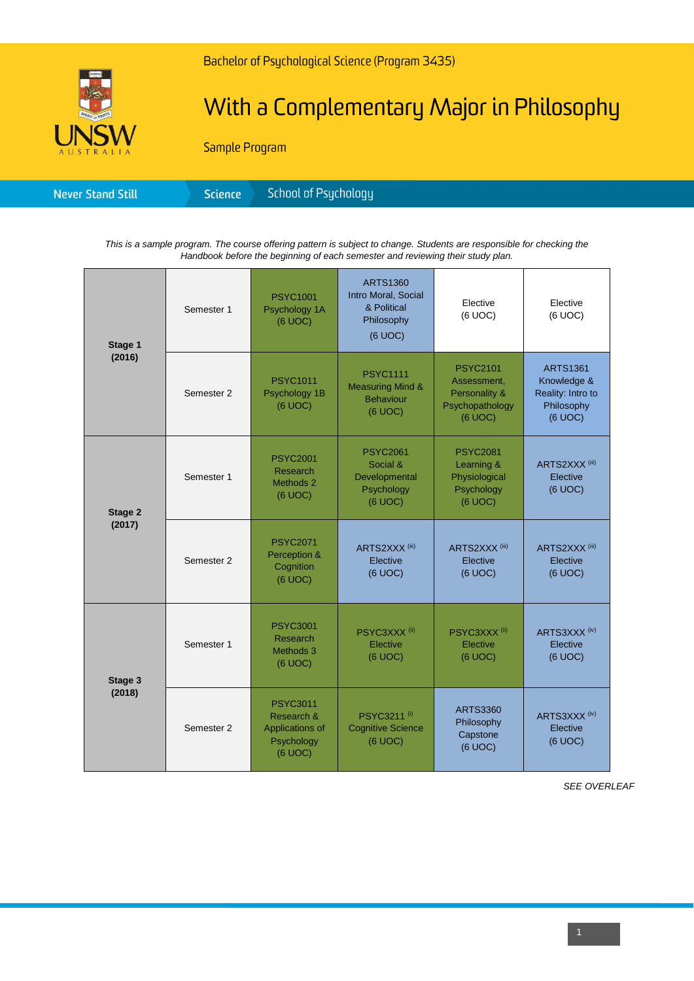

# With a Complementary Major in Philosophy

Sample Program

| <b>Never Stand Still</b> | <b>Science</b> | School of Psychology |
|--------------------------|----------------|----------------------|
|--------------------------|----------------|----------------------|

*This is a sample program. The course offering pattern is subject to change. Students are responsible for checking the Handbook before the beginning of each semester and reviewing their study plan.*

| Stage 1           | Semester 1 | <b>PSYC1001</b><br>Psychology 1A<br>(6 UOC)                               | <b>ARTS1360</b><br>Intro Moral, Social<br>& Political<br>Philosophy<br>(6 UOC) | Elective<br>(6 UOC)                                                           | Elective<br>(6 UOC)                                                          |
|-------------------|------------|---------------------------------------------------------------------------|--------------------------------------------------------------------------------|-------------------------------------------------------------------------------|------------------------------------------------------------------------------|
| (2016)            | Semester 2 | <b>PSYC1011</b><br>Psychology 1B<br>(6 UOC)                               | <b>PSYC1111</b><br><b>Measuring Mind &amp;</b><br><b>Behaviour</b><br>(6 UOC)  | <b>PSYC2101</b><br>Assessment.<br>Personality &<br>Psychopathology<br>(6 UOC) | <b>ARTS1361</b><br>Knowledge &<br>Reality: Intro to<br>Philosophy<br>(6 UOC) |
| Stage 2<br>(2017) | Semester 1 | <b>PSYC2001</b><br>Research<br>Methods 2<br>(6 UOC)                       | <b>PSYC2061</b><br>Social &<br>Developmental<br>Psychology<br>(6 UOC)          | <b>PSYC2081</b><br>Learning &<br>Physiological<br>Psychology<br>(6 UOC)       | ARTS2XXX <sup>(iii)</sup><br>Elective<br>(6 UOC)                             |
|                   | Semester 2 | <b>PSYC2071</b><br>Perception &<br>Cognition<br>(6 UOC)                   | ARTS2XXX <sup>(iii)</sup><br>Elective<br>(6 UOC)                               | ARTS2XXX <sup>(iii)</sup><br>Elective<br>(6 UOC)                              | ARTS2XXX <sup>(iii)</sup><br>Elective<br>(6 UOC)                             |
| Stage 3<br>(2018) | Semester 1 | <b>PSYC3001</b><br>Research<br>Methods 3<br>(6 UOC)                       | PSYC3XXX <sup>(ii)</sup><br>Elective<br>(6 UOC)                                | PSYC3XXX <sup>(ii)</sup><br>Elective<br>(6 UOC)                               | ARTS3XXX <sup>(iv)</sup><br>Elective<br>(6 UOC)                              |
|                   | Semester 2 | <b>PSYC3011</b><br>Research &<br>Applications of<br>Psychology<br>(6 UOC) | PSYC3211 <sup>(i)</sup><br><b>Cognitive Science</b><br>(6 UOC)                 | ARTS3360<br>Philosophy<br>Capstone<br>(6 UOC)                                 | ARTS3XXX <sup>(iv)</sup><br>Elective<br>(6 UOC)                              |

*SEE OVERLEAF*